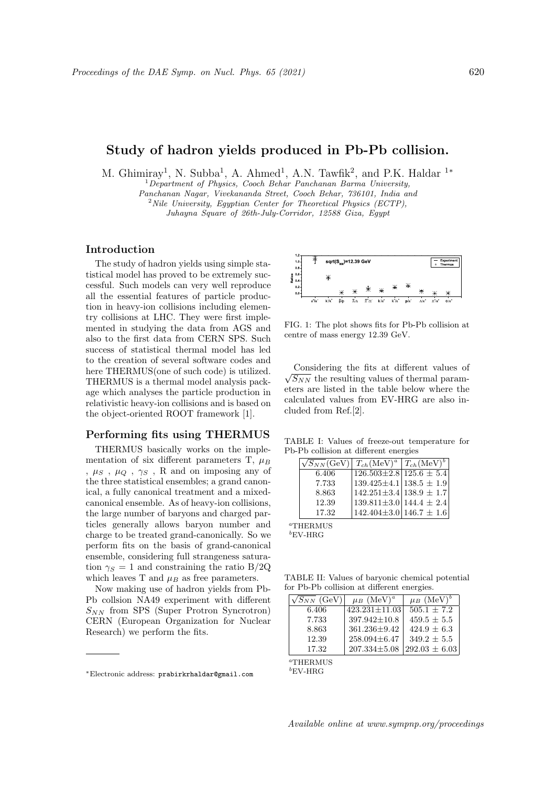# Study of hadron yields produced in Pb-Pb collision.

M. Ghimiray<sup>1</sup>, N. Subba<sup>1</sup>, A. Ahmed<sup>1</sup>, A.N. Tawfik<sup>2</sup>, and P.K. Haldar<sup>1\*</sup>

 $1$ Department of Physics, Cooch Behar Panchanan Barma University, Panchanan Nagar, Vivekananda Street, Cooch Behar, 736101, India and  $2$  Nile University, Eqyptian Center for Theoretical Physics (ECTP),

Juhayna Square of 26th-July-Corridor, 12588 Giza, Egypt

## Introduction

The study of hadron yields using simple statistical model has proved to be extremely successful. Such models can very well reproduce all the essential features of particle production in heavy-ion collisions including elementry collisions at LHC. They were first implemented in studying the data from AGS and also to the first data from CERN SPS. Such success of statistical thermal model has led to the creation of several software codes and here THERMUS(one of such code) is utilized. THERMUS is a thermal model analysis package which analyses the particle production in relativistic heavy-ion collisions and is based on the object-oriented ROOT framework [1].

## Performing fits using THERMUS

THERMUS basically works on the implementation of six different parameters T,  $\mu_B$ ,  $\mu_S$ ,  $\mu_Q$ ,  $\gamma_S$ , R and on imposing any of the three statistical ensembles; a grand canonical, a fully canonical treatment and a mixedcanonical ensemble. As of heavy-ion collisions, the large number of baryons and charged particles generally allows baryon number and charge to be treated grand-canonically. So we perform fits on the basis of grand-canonical ensemble, considering full strangeness saturation  $\gamma_S = 1$  and constraining the ratio B/2Q which leaves T and  $\mu_B$  as free parameters.

Now making use of hadron yields from Pb-Pb collsion NA49 experiment with different  $S_{NN}$  from SPS (Super Protron Syncrotron) CERN (European Organization for Nuclear Research) we perform the fits.



FIG. 1: The plot shows fits for Pb-Pb collision at centre of mass energy 12.39 GeV.

Considering the fits at different values of  $\sqrt{S_{NN}}$  the resulting values of thermal param-Considering the fits at different values of eters are listed in the table below where the calculated values from EV-HRG are also included from Ref.[2].

TABLE I: Values of freeze-out temperature for Pb-Pb collision at different energies

| $\sqrt{S_{NN}}$ (GeV) $T_{ch}$ (MeV) <sup>a</sup> $T_{ch}$ (MeV) <sup>b</sup> |                                           |  |
|-------------------------------------------------------------------------------|-------------------------------------------|--|
| 6.406                                                                         | $126.503\pm2.8$ 125.6 $\pm$ 5.4           |  |
| 7.733                                                                         | $139.425 \pm 4.1 \mid 138.5 \pm 1.9 \mid$ |  |
| 8.863                                                                         | $142.251 \pm 3.4 \mid 138.9 \pm 1.7 \mid$ |  |
| 12.39                                                                         | $139.811\pm3.0$   144.4 $\pm$ 2.4         |  |
| 17.32                                                                         | $142.404\pm3.0$   146.7 $\pm$ 1.6         |  |

<sup>a</sup>THERMUS  ${}^{b}$ EV-HRG

TABLE II: Values of baryonic chemical potential for Pb-Pb collision at different energies.

| $\sqrt{S_{NN}}$ (GeV) | $\mu_B$ (MeV) <sup>a</sup> | $\mu_B$ (MeV) <sup>b</sup> |
|-----------------------|----------------------------|----------------------------|
| 6.406                 | $423.231 \pm 11.03$        | $505.1 \pm 7.2$            |
| 7.733                 | $397.942 \pm 10.8$         | $459.5 \pm 5.5$            |
| 8.863                 | $361.236 \pm 9.42$         | $424.9 \pm 6.3$            |
| 12.39                 | $258.094\pm6.47$           | $349.2 \pm 5.5$            |
| 17.32                 | $207.334\pm5.08$           | $292.03 \pm 6.03$          |

<sup>a</sup>THERMUS

 ${}^{b}$ EV-HRG

<sup>∗</sup>Electronic address: prabirkrhaldar@gmail.com